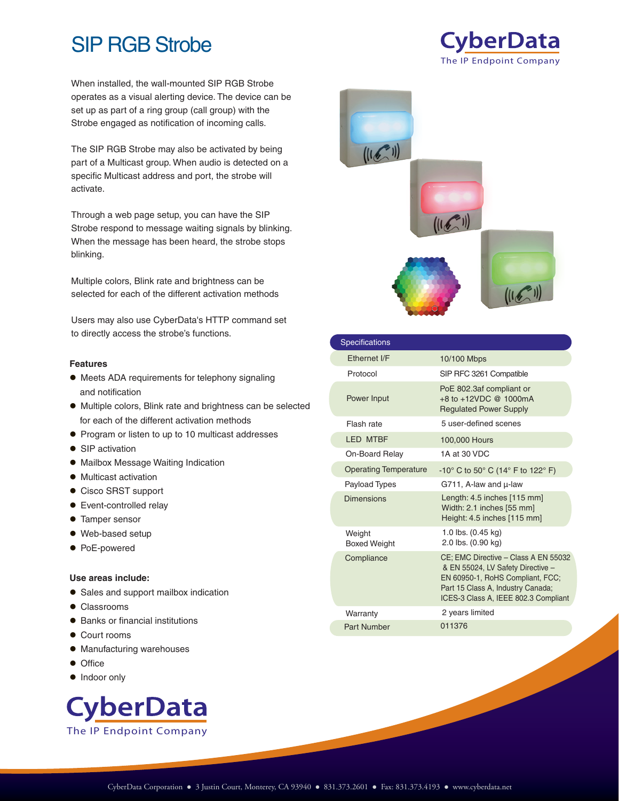# SIP RGB Strobe

When installed, the wall-mounted SIP RGB Strobe operates as a visual alerting device. The device can be set up as part of a ring group (call group) with the Strobe engaged as notification of incoming calls.

The SIP RGB Strobe may also be activated by being part of a Multicast group. When audio is detected on a specific Multicast address and port, the strobe will activate.

Through a web page setup, you can have the SIP Strobe respond to message waiting signals by blinking. When the message has been heard, the strobe stops blinking.

Multiple colors, Blink rate and brightness can be selected for each of the different activation methods

Users may also use CyberData's HTTP command set to directly access the strobe's functions.

#### **Features**

- Meets ADA requirements for telephony signaling and notification
- Multiple colors, Blink rate and brightness can be selected for each of the different activation methods
- **•** Program or listen to up to 10 multicast addresses
- SIP activation
- Mailbox Message Waiting Indication
- $\bullet$  Multicast activation
- Cisco SRST support
- Event-controlled relay
- **Tamper sensor**
- Web-based setup
- PoE-powered

#### **Use areas include:**

- Sales and support mailbox indication
- Classrooms
- Banks or financial institutions
- Court rooms
- $\bullet$  Manufacturing warehouses
- Office
- Indoor only





The IP Endpoint Company

**CyberData** 

| <b>Specifications</b>         |                                                                                                                                                                                            |
|-------------------------------|--------------------------------------------------------------------------------------------------------------------------------------------------------------------------------------------|
| Fthernet I/F                  | 10/100 Mbps                                                                                                                                                                                |
| Protocol                      | SIP RFC 3261 Compatible                                                                                                                                                                    |
| Power Input                   | PoE 802.3af compliant or<br>+8 to +12VDC @ 1000mA<br><b>Regulated Power Supply</b>                                                                                                         |
| Flash rate                    | 5 user-defined scenes                                                                                                                                                                      |
| <b>LED MTBF</b>               | 100,000 Hours                                                                                                                                                                              |
| On-Board Relay                | 1A at 30 VDC                                                                                                                                                                               |
| <b>Operating Temperature</b>  | $-10^{\circ}$ C to 50 $^{\circ}$ C (14 $^{\circ}$ F to 122 $^{\circ}$ F)                                                                                                                   |
| Payload Types                 | G711, A-law and u-law                                                                                                                                                                      |
| Dimensions                    | Length: 4.5 inches [115 mm]<br>Width: 2.1 inches [55 mm]<br>Height: 4.5 inches [115 mm]                                                                                                    |
| Weight<br><b>Boxed Weight</b> | 1.0 lbs. $(0.45 \text{ kg})$<br>2.0 lbs. (0.90 kg)                                                                                                                                         |
| Compliance                    | CE: EMC Directive - Class A EN 55032<br>& EN 55024, LV Safety Directive -<br>EN 60950-1, RoHS Compliant, FCC;<br>Part 15 Class A, Industry Canada;<br>ICES-3 Class A, IEEE 802.3 Compliant |
| Warranty                      | 2 years limited                                                                                                                                                                            |
| <b>Part Number</b>            | 011376                                                                                                                                                                                     |